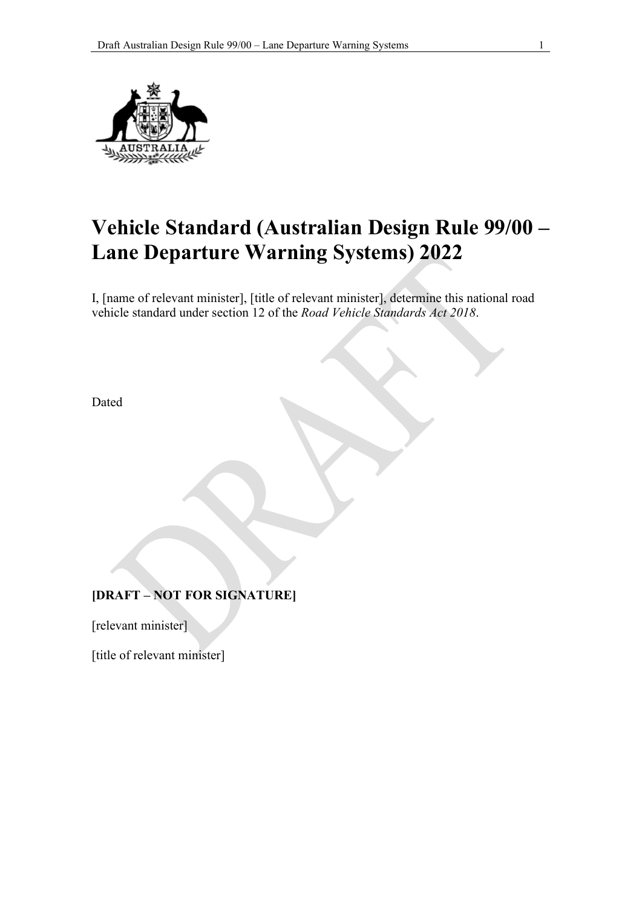

# **Vehicle Standard (Australian Design Rule 99/00 – Lane Departure Warning Systems) 2022**

I, [name of relevant minister], [title of relevant minister], determine this national road vehicle standard under section 12 of the *Road Vehicle Standards Act 2018*.

Dated

# **[DRAFT – NOT FOR SIGNATURE]**

[relevant minister]

[title of relevant minister]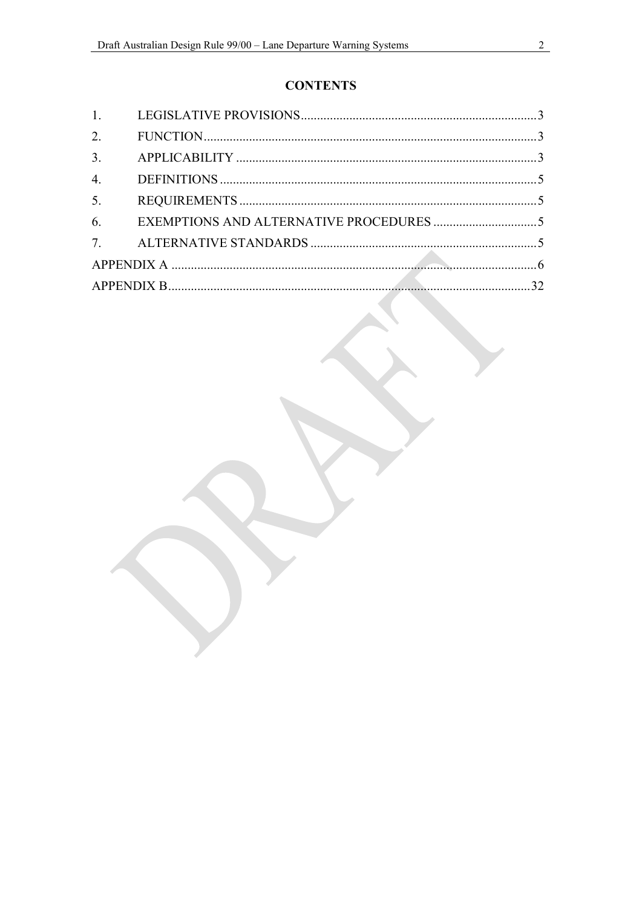# **CONTENTS**

| 5. |  |
|----|--|
|    |  |
|    |  |
|    |  |
|    |  |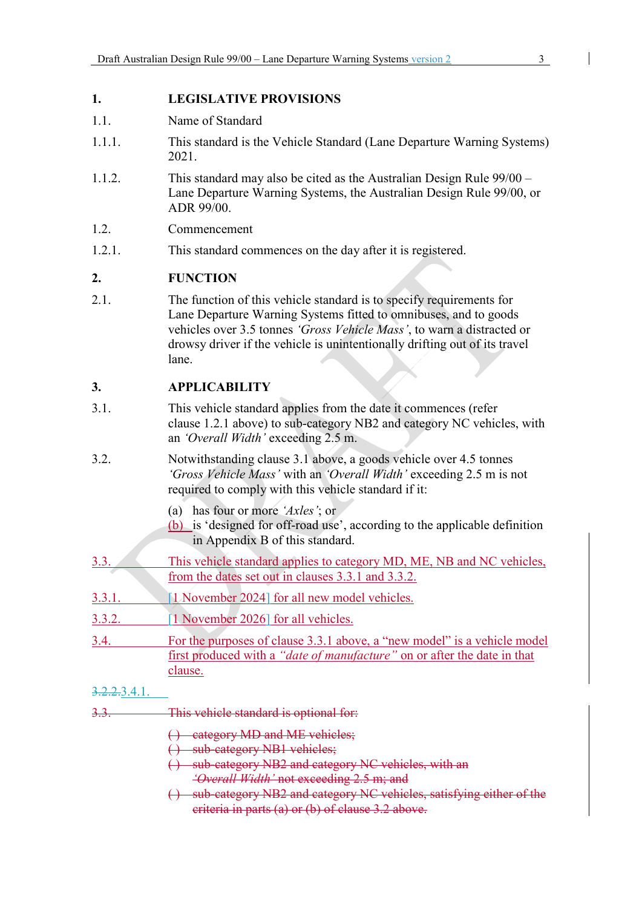#### **1. LEGISLATIVE PROVISIONS**

- 1.1. Name of Standard
- 1.1.1. This standard is the Vehicle Standard (Lane Departure Warning Systems) 2021.
- 1.1.2. This standard may also be cited as the Australian Design Rule 99/00 Lane Departure Warning Systems, the Australian Design Rule 99/00, or ADR 99/00.
- 1.2. Commencement
- 1.2.1. This standard commences on the day after it is registered.

#### **2. FUNCTION**

2.1. The function of this vehicle standard is to specify requirements for Lane Departure Warning Systems fitted to omnibuses, and to goods vehicles over 3.5 tonnes *'Gross Vehicle Mass'*, to warn a distracted or drowsy driver if the vehicle is unintentionally drifting out of its travel lane.

### **3. APPLICABILITY**

- 3.1. This vehicle standard applies from the date it commences (refer clause 1.2.1 above) to sub-category NB2 and category NC vehicles, with an *'Overall Width'* exceeding 2.5 m.
- 3.2. Notwithstanding clause 3.1 above, a goods vehicle over 4.5 tonnes *'Gross Vehicle Mass'* with an *'Overall Width'* exceeding 2.5 m is not required to comply with this vehicle standard if it:
	- (a) has four or more *'Axles'*; or
	- (b) is 'designed for off-road use', according to the applicable definition in Appendix B of this standard.
- 3.3. This vehicle standard applies to category MD, ME, NB and NC vehicles, from the dates set out in clauses 3.3.1 and 3.3.2.
- 3.3.1. [1 November 2024] for all new model vehicles.
- 3.3.2. [1 November 2026] for all vehicles.
- 3.4. For the purposes of clause 3.3.1 above, a "new model" is a vehicle model first produced with a *"date of manufacture"* on or after the date in that clause.

#### 3.2.2.3.4.1.

- 3.3. This vehicle standard is optional for:
	- ( ) category MD and ME vehicles;
	- ( ) sub-category NB1 vehicles;
	- ( ) sub-category NB2 and category NC vehicles, with an *'Overall Width'* not exceeding 2.5 m; and
	- ( ) sub-category NB2 and category NC vehicles, satisfying either of the criteria in parts (a) or (b) of clause 3.2 above.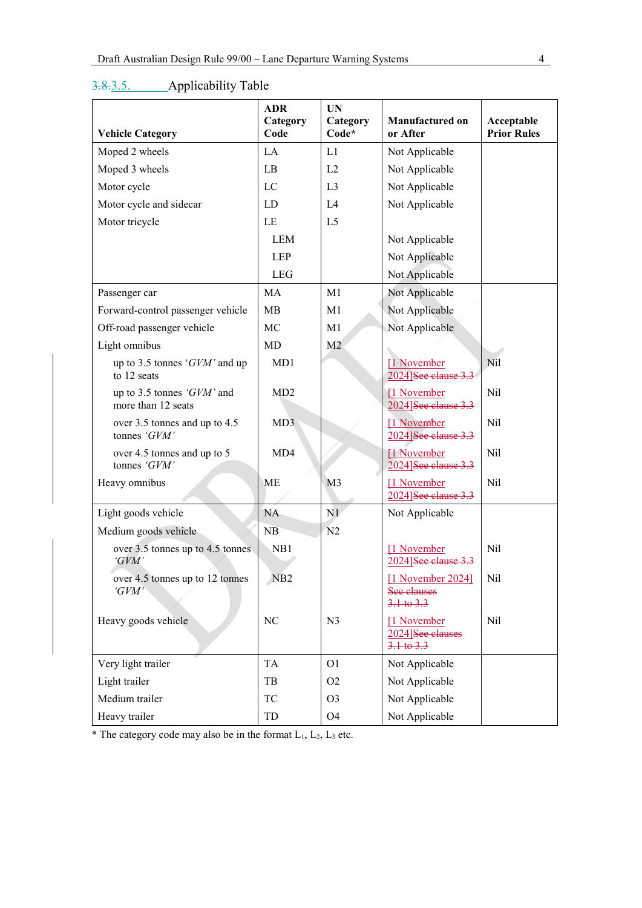|                                                  | <b>ADR</b><br>Category | <b>UN</b><br>Category | Manufactured on                                          | Acceptable         |
|--------------------------------------------------|------------------------|-----------------------|----------------------------------------------------------|--------------------|
| <b>Vehicle Category</b>                          | Code                   | Code*                 | or After                                                 | <b>Prior Rules</b> |
| Moped 2 wheels                                   | LA                     | L1                    | Not Applicable                                           |                    |
| Moped 3 wheels                                   | LB                     | L2                    | Not Applicable                                           |                    |
| Motor cycle                                      | LC                     | L <sub>3</sub>        | Not Applicable                                           |                    |
| Motor cycle and sidecar                          | LD                     | L4                    | Not Applicable                                           |                    |
| Motor tricycle                                   | LE                     | L <sub>5</sub>        |                                                          |                    |
|                                                  | <b>LEM</b>             |                       | Not Applicable                                           |                    |
|                                                  | <b>LEP</b>             |                       | Not Applicable                                           |                    |
|                                                  | <b>LEG</b>             |                       | Not Applicable                                           |                    |
| Passenger car                                    | MA                     | M1                    | Not Applicable                                           |                    |
| Forward-control passenger vehicle                | MB                     | M1                    | Not Applicable                                           |                    |
| Off-road passenger vehicle                       | MC                     | M1                    | Not Applicable                                           |                    |
| Light omnibus                                    | MD                     | M <sub>2</sub>        |                                                          |                    |
| up to 3.5 tonnes ' $GVM$ ' and up<br>to 12 seats | MD1                    |                       | [1 November<br>2024]See clause 3.3                       | Nil                |
| up to 3.5 tonnes 'GVM' and<br>more than 12 seats | MD2                    |                       | [1 November]<br>2024]See clause 3.3                      | Nil                |
| over 3.5 tonnes and up to 4.5<br>tonnes 'GVM'    | MD3                    |                       | [1 November<br>2024]See clause 3.3                       | Nil                |
| over 4.5 tonnes and up to 5<br>tonnes 'GVM'      | MD4                    |                       | [1 November<br>2024]See clause 3.3                       | Nil                |
| Heavy omnibus                                    | ME                     | M <sub>3</sub>        | [1 November<br>2024]See clause 3.3                       | Nil                |
| Light goods vehicle                              | <b>NA</b>              | N1                    | Not Applicable                                           |                    |
| Medium goods vehicle                             | NB                     | N <sub>2</sub>        |                                                          |                    |
| over 3.5 tonnes up to 4.5 tonnes<br>'GVM'        | NB1                    |                       | [1 November<br>2024]See clause 3.3                       | Nil                |
| over 4.5 tonnes up to 12 tonnes<br>'GVM'         | N <sub>B2</sub>        |                       | [1 November 2024]<br>See clauses<br>$3.1 + 6.3.3$        | Nil                |
| Heavy goods vehicle                              | NC                     | N <sub>3</sub>        | [1 November<br>2024]See clauses<br>$3.1 \text{ to } 3.3$ | Nil                |
| Very light trailer                               | <b>TA</b>              | O <sub>1</sub>        | Not Applicable                                           |                    |
| Light trailer                                    | TB                     | O <sub>2</sub>        | Not Applicable                                           |                    |
| Medium trailer                                   | TC                     | O <sub>3</sub>        | Not Applicable                                           |                    |
| Heavy trailer                                    | TD                     | O <sub>4</sub>        | Not Applicable                                           |                    |

# 3.8.3.5. Applicability Table

 $*$  The category code may also be in the format  $L_1$ ,  $L_2$ ,  $L_3$  etc.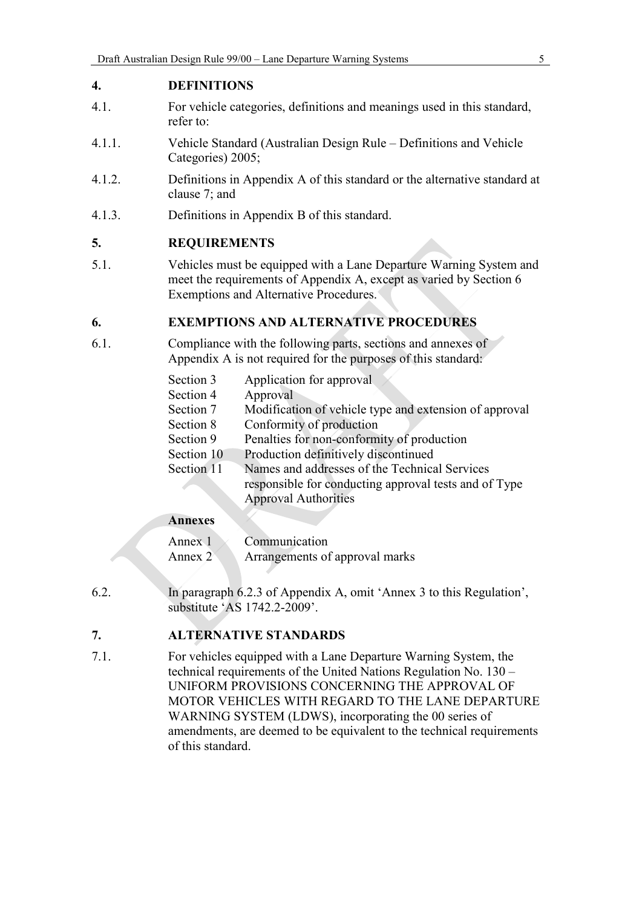### **4. DEFINITIONS**

- 4.1. For vehicle categories, definitions and meanings used in this standard, refer to:
- 4.1.1. Vehicle Standard (Australian Design Rule Definitions and Vehicle Categories) 2005;
- 4.1.2. Definitions in Appendix A of this standard or the alternative standard at clause 7; and
- 4.1.3. Definitions in Appendix B of this standard.

#### **5. REQUIREMENTS**

5.1. Vehicles must be equipped with a Lane Departure Warning System and meet the requirements of Appendix A, except as varied by Section 6 Exemptions and Alternative Procedures.

#### **6. EXEMPTIONS AND ALTERNATIVE PROCEDURES**

6.1. Compliance with the following parts, sections and annexes of Appendix A is not required for the purposes of this standard:

| Section 3  | Application for approval                               |
|------------|--------------------------------------------------------|
| Section 4  | Approval                                               |
| Section 7  | Modification of vehicle type and extension of approval |
| Section 8  | Conformity of production                               |
| Section 9  | Penalties for non-conformity of production             |
| Section 10 | Production definitively discontinued                   |
| Section 11 | Names and addresses of the Technical Services          |
|            | responsible for conducting approval tests and of Type  |
|            | <b>Approval Authorities</b>                            |
|            |                                                        |

#### **Annexes**

| Annex 1 | Communication                  |
|---------|--------------------------------|
| Annex 2 | Arrangements of approval marks |

6.2. In paragraph 6.2.3 of Appendix A, omit 'Annex 3 to this Regulation', substitute 'AS 1742.2-2009'.

### **7. ALTERNATIVE STANDARDS**

7.1. For vehicles equipped with a Lane Departure Warning System, the technical requirements of the United Nations Regulation No. 130 – UNIFORM PROVISIONS CONCERNING THE APPROVAL OF MOTOR VEHICLES WITH REGARD TO THE LANE DEPARTURE WARNING SYSTEM (LDWS), incorporating the 00 series of amendments, are deemed to be equivalent to the technical requirements of this standard.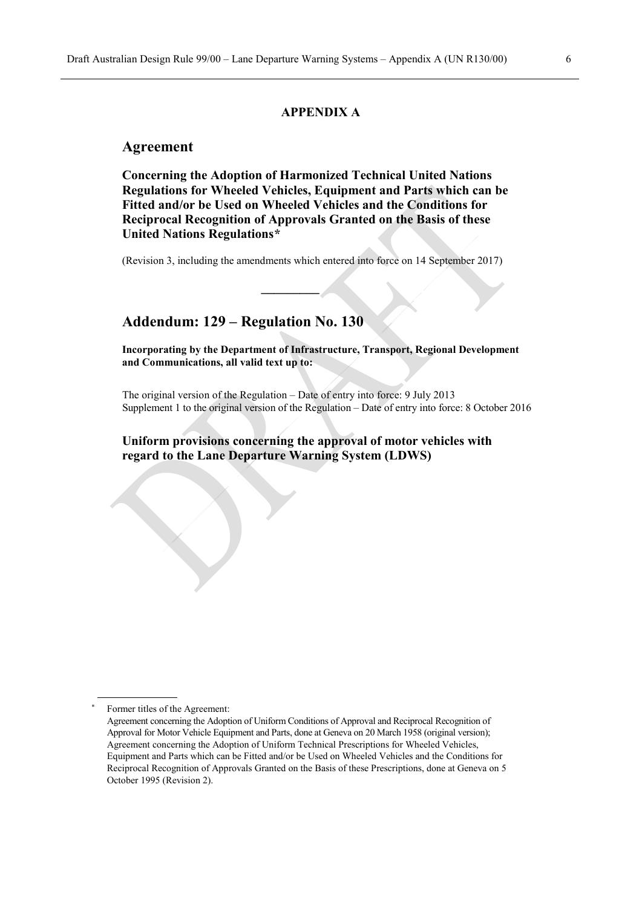#### **APPENDIX A**

#### **Agreement**

**Concerning the Adoption of Harmonized Technical United Nations Regulations for Wheeled Vehicles, Equipment and Parts which can be Fitted and/or be Used on Wheeled Vehicles and the Conditions for Reciprocal Recognition of Approvals Granted on the Basis of these United Nations Regulation[s\\*](#page-5-0)**

(Revision 3, including the amendments which entered into force on 14 September 2017)

**\_\_\_\_\_\_\_\_\_**

#### **Addendum: 129 – Regulation No. 130**

**Incorporating by the Department of Infrastructure, Transport, Regional Development and Communications, all valid text up to:**

The original version of the Regulation – Date of entry into force: 9 July 2013 Supplement 1 to the original version of the Regulation – Date of entry into force: 8 October 2016

**Uniform provisions concerning the approval of motor vehicles with regard to the Lane Departure Warning System (LDWS)**

<span id="page-5-0"></span>Former titles of the Agreement:

Agreement concerning the Adoption of Uniform Conditions of Approval and Reciprocal Recognition of Approval for Motor Vehicle Equipment and Parts, done at Geneva on 20 March 1958 (original version); Agreement concerning the Adoption of Uniform Technical Prescriptions for Wheeled Vehicles, Equipment and Parts which can be Fitted and/or be Used on Wheeled Vehicles and the Conditions for Reciprocal Recognition of Approvals Granted on the Basis of these Prescriptions, done at Geneva on 5 October 1995 (Revision 2).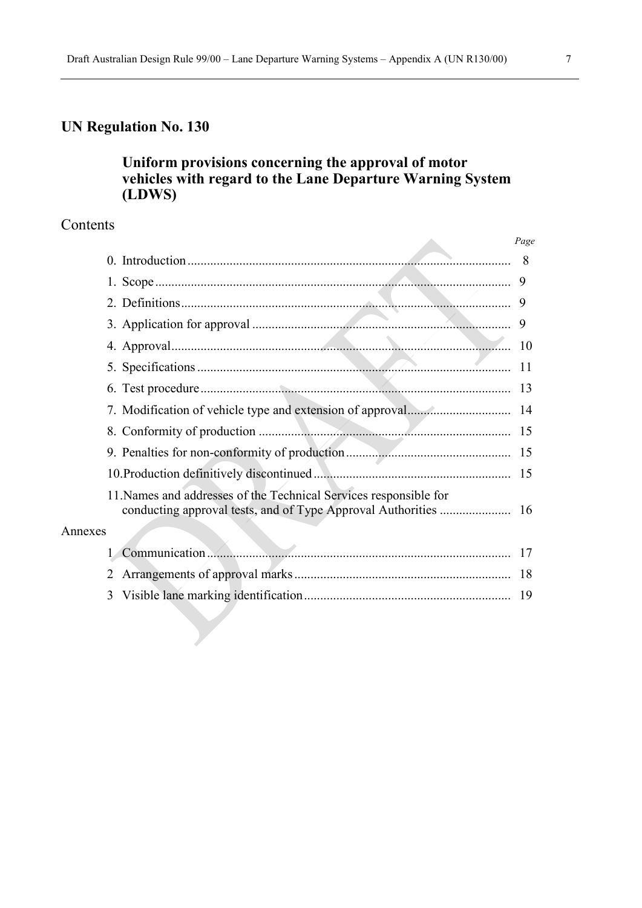# **UN Regulation No. 130**

# **Uniform provisions concerning the approval of motor vehicles with regard to the Lane Departure Warning System (LDWS)**

## Contents

|         |                                                                   | Page |
|---------|-------------------------------------------------------------------|------|
|         |                                                                   | - 8  |
|         |                                                                   |      |
|         |                                                                   |      |
|         |                                                                   |      |
|         |                                                                   | 10   |
|         |                                                                   |      |
|         |                                                                   |      |
|         |                                                                   |      |
|         |                                                                   |      |
|         |                                                                   |      |
|         |                                                                   |      |
|         | 11. Names and addresses of the Technical Services responsible for |      |
| Annexes |                                                                   |      |
|         |                                                                   |      |
|         | 2                                                                 |      |
|         | 3                                                                 |      |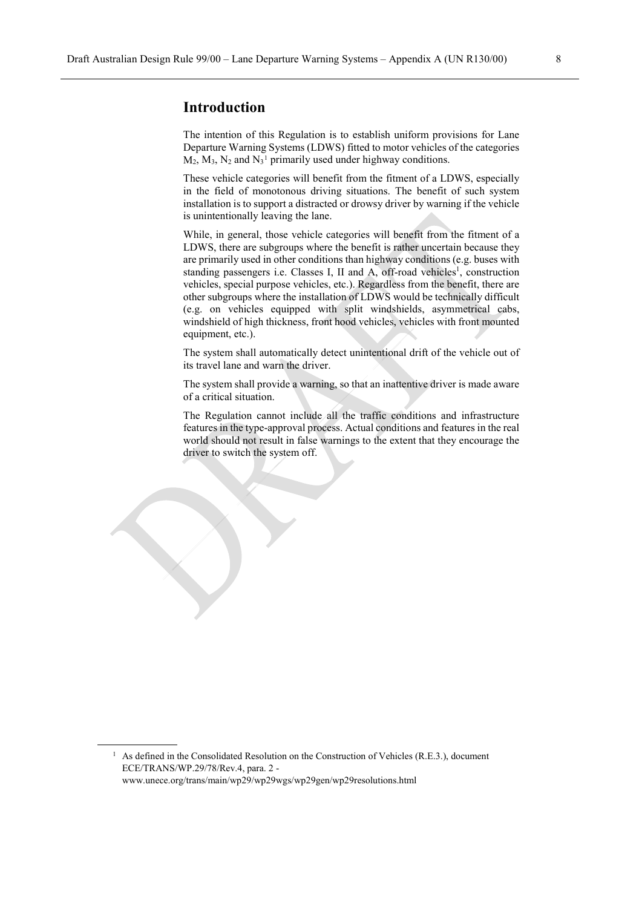The intention of this Regulation is to establish uniform provisions for Lane Departure Warning Systems (LDWS) fitted to motor vehicles of the categories  $M_2$ ,  $M_3$ ,  $N_2$  and  $N_3$ <sup>[1](#page-7-0)</sup> primarily used under highway conditions.

These vehicle categories will benefit from the fitment of a LDWS, especially in the field of monotonous driving situations. The benefit of such system installation is to support a distracted or drowsy driver by warning if the vehicle is unintentionally leaving the lane.

While, in general, those vehicle categories will benefit from the fitment of a LDWS, there are subgroups where the benefit is rather uncertain because they are primarily used in other conditions than highway conditions (e.g. buses with standing passengers i.e. Classes I, II and A, off-road vehicles<sup>1</sup>, construction vehicles, special purpose vehicles, etc.). Regardless from the benefit, there are other subgroups where the installation of LDWS would be technically difficult (e.g. on vehicles equipped with split windshields, asymmetrical cabs, windshield of high thickness, front hood vehicles, vehicles with front mounted equipment, etc.).

The system shall automatically detect unintentional drift of the vehicle out of its travel lane and warn the driver.

The system shall provide a warning, so that an inattentive driver is made aware of a critical situation.

The Regulation cannot include all the traffic conditions and infrastructure features in the type-approval process. Actual conditions and features in the real world should not result in false warnings to the extent that they encourage the driver to switch the system off.

<span id="page-7-0"></span><sup>&</sup>lt;sup>1</sup> As defined in the Consolidated Resolution on the Construction of Vehicles (R.E.3.), document ECE/TRANS/WP.29/78/Rev.4, para. 2 www.unece.org/trans/main/wp29/wp29wgs/wp29gen/wp29resolutions.html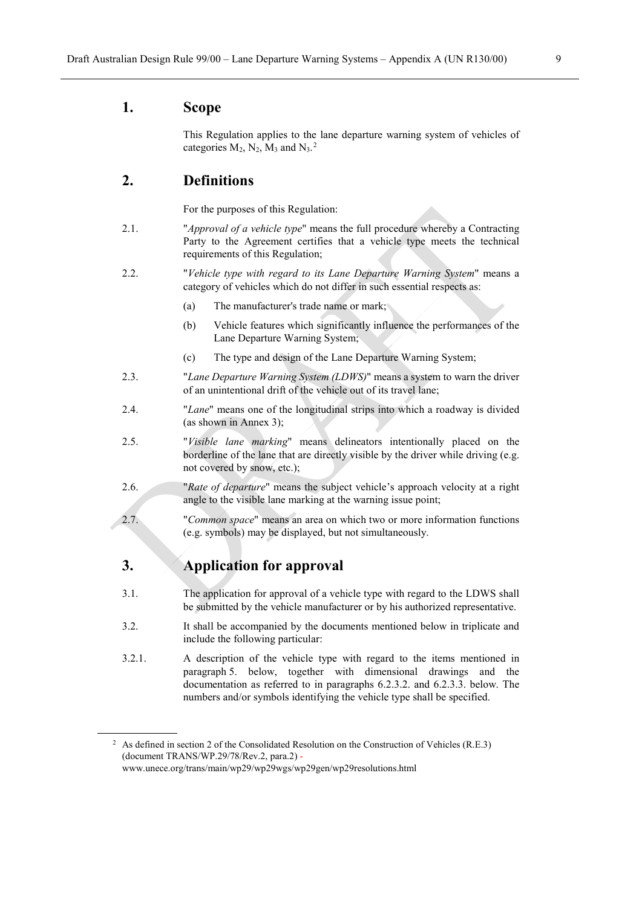#### **1. Scope**

This Regulation applies to the lane departure warning system of vehicles of categories  $M_2$  $M_2$ ,  $N_2$ ,  $M_3$  and  $N_3$ .<sup>2</sup>

#### **2. Definitions**

For the purposes of this Regulation:

- 2.1. "*Approval of a vehicle type*" means the full procedure whereby a Contracting Party to the Agreement certifies that a vehicle type meets the technical requirements of this Regulation;
- 2.2. "*Vehicle type with regard to its Lane Departure Warning System*" means a category of vehicles which do not differ in such essential respects as:
	- (a) The manufacturer's trade name or mark;
	- (b) Vehicle features which significantly influence the performances of the Lane Departure Warning System;
	- (c) The type and design of the Lane Departure Warning System;
- 2.3. "*Lane Departure Warning System (LDWS)*" means a system to warn the driver of an unintentional drift of the vehicle out of its travel lane;
- 2.4. "*Lane*" means one of the longitudinal strips into which a roadway is divided (as shown in Annex 3);
- 2.5. "*Visible lane marking*" means delineators intentionally placed on the borderline of the lane that are directly visible by the driver while driving (e.g. not covered by snow, etc.);
- 2.6. "*Rate of departure*" means the subject vehicle's approach velocity at a right angle to the visible lane marking at the warning issue point;
- 2.7. "*Common space*" means an area on which two or more information functions (e.g. symbols) may be displayed, but not simultaneously.

#### **3. Application for approval**

- 3.1. The application for approval of a vehicle type with regard to the LDWS shall be submitted by the vehicle manufacturer or by his authorized representative.
- 3.2. It shall be accompanied by the documents mentioned below in triplicate and include the following particular:
- 3.2.1. A description of the vehicle type with regard to the items mentioned in paragraph 5. below, together with dimensional drawings and the documentation as referred to in paragraphs 6.2.3.2. and 6.2.3.3. below. The numbers and/or symbols identifying the vehicle type shall be specified.

<span id="page-8-0"></span><sup>&</sup>lt;sup>2</sup> As defined in section 2 of the Consolidated Resolution on the Construction of Vehicles (R.E.3) (document TRANS/WP.29/78/Rev.2, para.2) [www.unece.org/trans/main/wp29/wp29wgs/wp29gen/wp29resolutions.html](http://www.unece.org/trans/main/wp29/wp29wgs/wp29gen/wp29resolutions.html)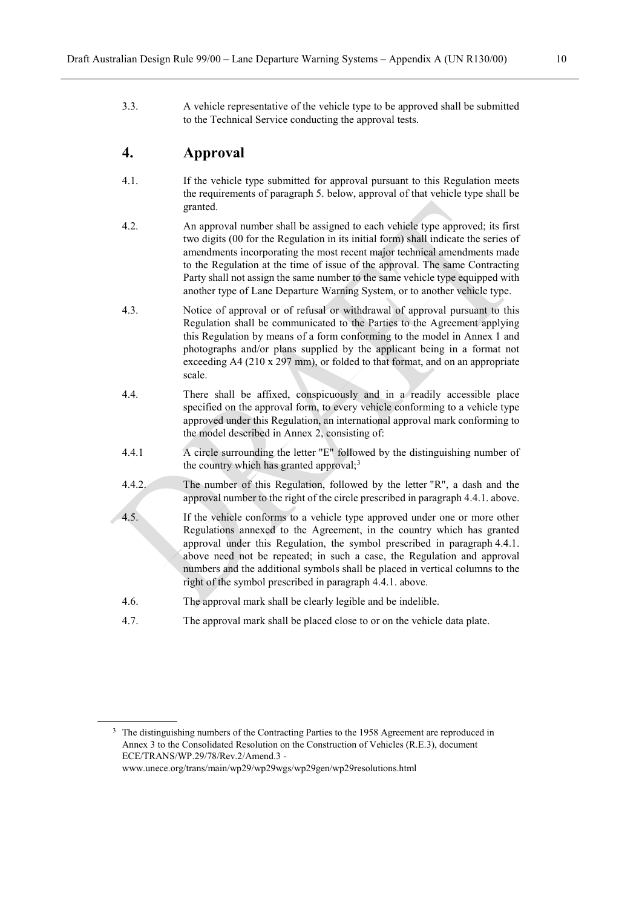3.3. A vehicle representative of the vehicle type to be approved shall be submitted to the Technical Service conducting the approval tests.

#### **4. Approval**

- 4.1. If the vehicle type submitted for approval pursuant to this Regulation meets the requirements of paragraph 5. below, approval of that vehicle type shall be granted.
- 4.2. An approval number shall be assigned to each vehicle type approved; its first two digits (00 for the Regulation in its initial form) shall indicate the series of amendments incorporating the most recent major technical amendments made to the Regulation at the time of issue of the approval. The same Contracting Party shall not assign the same number to the same vehicle type equipped with another type of Lane Departure Warning System, or to another vehicle type.
- 4.3. Notice of approval or of refusal or withdrawal of approval pursuant to this Regulation shall be communicated to the Parties to the Agreement applying this Regulation by means of a form conforming to the model in Annex 1 and photographs and/or plans supplied by the applicant being in a format not exceeding A4 (210 x 297 mm), or folded to that format, and on an appropriate scale.
- 4.4. There shall be affixed, conspicuously and in a readily accessible place specified on the approval form, to every vehicle conforming to a vehicle type approved under this Regulation, an international approval mark conforming to the model described in Annex 2, consisting of:
- 4.4.1 A circle surrounding the letter "E" followed by the distinguishing number of the country which has granted approval; $3$
- 4.4.2. The number of this Regulation, followed by the letter "R", a dash and the approval number to the right of the circle prescribed in paragraph 4.4.1. above.
- 4.5. If the vehicle conforms to a vehicle type approved under one or more other Regulations annexed to the Agreement, in the country which has granted approval under this Regulation, the symbol prescribed in paragraph 4.4.1. above need not be repeated; in such a case, the Regulation and approval numbers and the additional symbols shall be placed in vertical columns to the right of the symbol prescribed in paragraph 4.4.1. above.
- 4.6. The approval mark shall be clearly legible and be indelible.
- 4.7. The approval mark shall be placed close to or on the vehicle data plate.

<span id="page-9-0"></span><sup>&</sup>lt;sup>3</sup> The distinguishing numbers of the Contracting Parties to the 1958 Agreement are reproduced in Annex 3 to the Consolidated Resolution on the Construction of Vehicles (R.E.3), document ECE/TRANS/WP.29/78/Rev.2/Amend.3 www.unece.org/trans/main/wp29/wp29wgs/wp29gen/wp29resolutions.html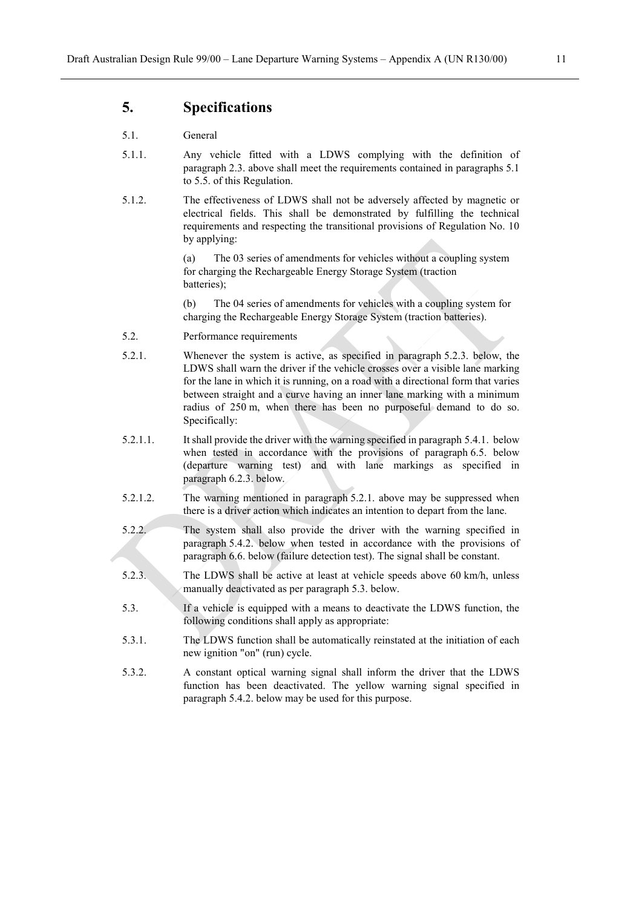#### **5. Specifications**

#### 5.1. General

- 5.1.1. Any vehicle fitted with a LDWS complying with the definition of paragraph 2.3. above shall meet the requirements contained in paragraphs 5.1 to 5.5. of this Regulation.
- 5.1.2. The effectiveness of LDWS shall not be adversely affected by magnetic or electrical fields. This shall be demonstrated by fulfilling the technical requirements and respecting the transitional provisions of Regulation No. 10 by applying:

(a) The 03 series of amendments for vehicles without a coupling system for charging the Rechargeable Energy Storage System (traction batteries);

(b) The 04 series of amendments for vehicles with a coupling system for charging the Rechargeable Energy Storage System (traction batteries).

- 5.2. Performance requirements
- 5.2.1. Whenever the system is active, as specified in paragraph 5.2.3. below, the LDWS shall warn the driver if the vehicle crosses over a visible lane marking for the lane in which it is running, on a road with a directional form that varies between straight and a curve having an inner lane marking with a minimum radius of 250 m, when there has been no purposeful demand to do so. Specifically:
- 5.2.1.1. It shall provide the driver with the warning specified in paragraph 5.4.1. below when tested in accordance with the provisions of paragraph 6.5. below (departure warning test) and with lane markings as specified in paragraph 6.2.3. below.
- 5.2.1.2. The warning mentioned in paragraph 5.2.1. above may be suppressed when there is a driver action which indicates an intention to depart from the lane.
- 5.2.2. The system shall also provide the driver with the warning specified in paragraph 5.4.2. below when tested in accordance with the provisions of paragraph 6.6. below (failure detection test). The signal shall be constant.
- 5.2.3. The LDWS shall be active at least at vehicle speeds above 60 km/h, unless manually deactivated as per paragraph 5.3. below.
- 5.3. If a vehicle is equipped with a means to deactivate the LDWS function, the following conditions shall apply as appropriate:
- 5.3.1. The LDWS function shall be automatically reinstated at the initiation of each new ignition "on" (run) cycle.
- 5.3.2. A constant optical warning signal shall inform the driver that the LDWS function has been deactivated. The yellow warning signal specified in paragraph 5.4.2. below may be used for this purpose.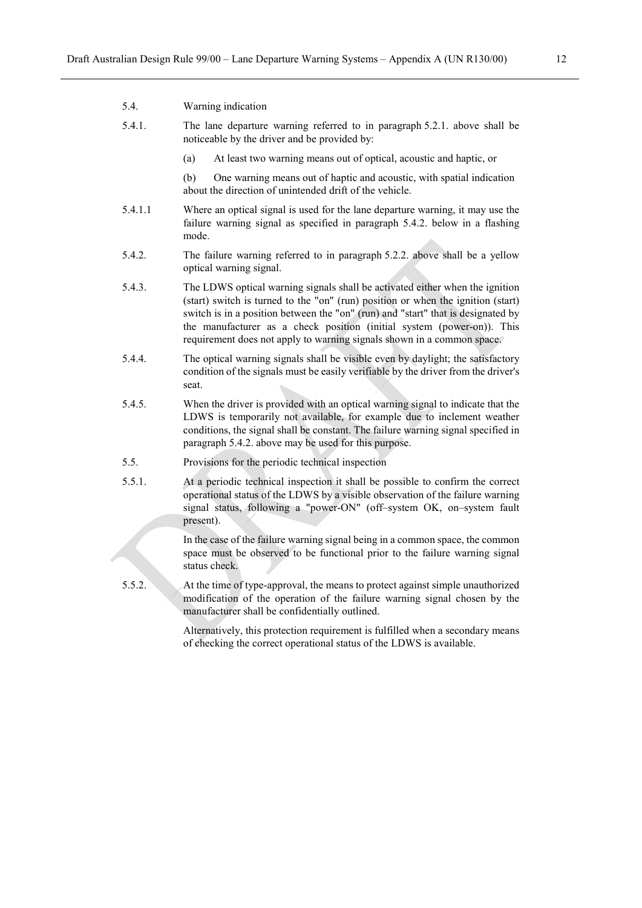| 5.4.1.  | The lane departure warning referred to in paragraph 5.2.1. above shall be<br>noticeable by the driver and be provided by:                                    |  |  |  |  |  |
|---------|--------------------------------------------------------------------------------------------------------------------------------------------------------------|--|--|--|--|--|
|         | At least two warning means out of optical, acoustic and haptic, or<br>(a)                                                                                    |  |  |  |  |  |
|         | One warning means out of haptic and acoustic, with spatial indication<br>(b)<br>about the direction of unintended drift of the vehicle.                      |  |  |  |  |  |
| 5.4.1.1 | Where an optical signal is used for the lane departure warning, it may use the<br>follows woming gianal as mostlied in noncoural $5.4.2$ holem in a floabing |  |  |  |  |  |

5.4. Warning indication

- failure warning signal as specified in paragraph 5.4.2. below in a flashing mode.
- 5.4.2. The failure warning referred to in paragraph 5.2.2. above shall be a yellow optical warning signal.
- 5.4.3. The LDWS optical warning signals shall be activated either when the ignition (start) switch is turned to the "on" (run) position or when the ignition (start) switch is in a position between the "on" (run) and "start" that is designated by the manufacturer as a check position (initial system (power-on)). This requirement does not apply to warning signals shown in a common space.
- 5.4.4. The optical warning signals shall be visible even by daylight; the satisfactory condition of the signals must be easily verifiable by the driver from the driver's seat.
- 5.4.5. When the driver is provided with an optical warning signal to indicate that the LDWS is temporarily not available, for example due to inclement weather conditions, the signal shall be constant. The failure warning signal specified in paragraph 5.4.2. above may be used for this purpose.
- 5.5. Provisions for the periodic technical inspection
- 5.5.1. At a periodic technical inspection it shall be possible to confirm the correct operational status of the LDWS by a visible observation of the failure warning signal status, following a "power-ON" (off–system OK, on–system fault present).

In the case of the failure warning signal being in a common space, the common space must be observed to be functional prior to the failure warning signal status check.

5.5.2. At the time of type-approval, the means to protect against simple unauthorized modification of the operation of the failure warning signal chosen by the manufacturer shall be confidentially outlined.

> Alternatively, this protection requirement is fulfilled when a secondary means of checking the correct operational status of the LDWS is available.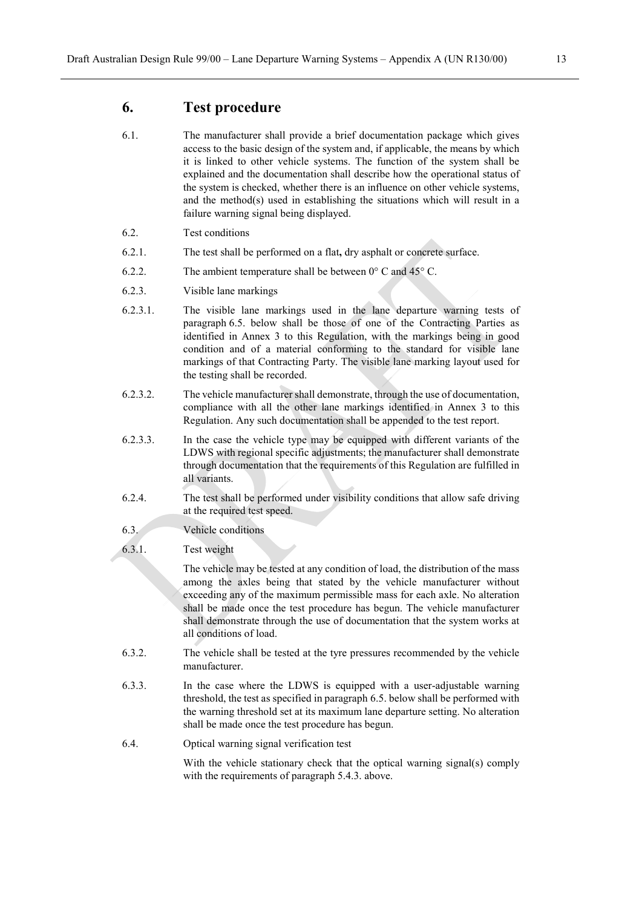#### **6. Test procedure**

- 6.1. The manufacturer shall provide a brief documentation package which gives access to the basic design of the system and, if applicable, the means by which it is linked to other vehicle systems. The function of the system shall be explained and the documentation shall describe how the operational status of the system is checked, whether there is an influence on other vehicle systems, and the method(s) used in establishing the situations which will result in a failure warning signal being displayed.
- 6.2. Test conditions
- 6.2.1. The test shall be performed on a flat**,** dry asphalt or concrete surface.
- 6.2.2. The ambient temperature shall be between  $0^{\circ}$  C and  $45^{\circ}$  C.
- 6.2.3. Visible lane markings
- 6.2.3.1. The visible lane markings used in the lane departure warning tests of paragraph 6.5. below shall be those of one of the Contracting Parties as identified in Annex 3 to this Regulation, with the markings being in good condition and of a material conforming to the standard for visible lane markings of that Contracting Party. The visible lane marking layout used for the testing shall be recorded.
- 6.2.3.2. The vehicle manufacturer shall demonstrate, through the use of documentation, compliance with all the other lane markings identified in Annex 3 to this Regulation. Any such documentation shall be appended to the test report.
- 6.2.3.3. In the case the vehicle type may be equipped with different variants of the LDWS with regional specific adjustments; the manufacturer shall demonstrate through documentation that the requirements of this Regulation are fulfilled in all variants.
- 6.2.4. The test shall be performed under visibility conditions that allow safe driving at the required test speed.
- 6.3. Vehicle conditions
- 6.3.1. Test weight

The vehicle may be tested at any condition of load, the distribution of the mass among the axles being that stated by the vehicle manufacturer without exceeding any of the maximum permissible mass for each axle. No alteration shall be made once the test procedure has begun. The vehicle manufacturer shall demonstrate through the use of documentation that the system works at all conditions of load.

- 6.3.2. The vehicle shall be tested at the tyre pressures recommended by the vehicle manufacturer.
- 6.3.3. In the case where the LDWS is equipped with a user-adjustable warning threshold, the test as specified in paragraph 6.5. below shall be performed with the warning threshold set at its maximum lane departure setting. No alteration shall be made once the test procedure has begun.
- 6.4. Optical warning signal verification test

With the vehicle stationary check that the optical warning signal(s) comply with the requirements of paragraph 5.4.3. above.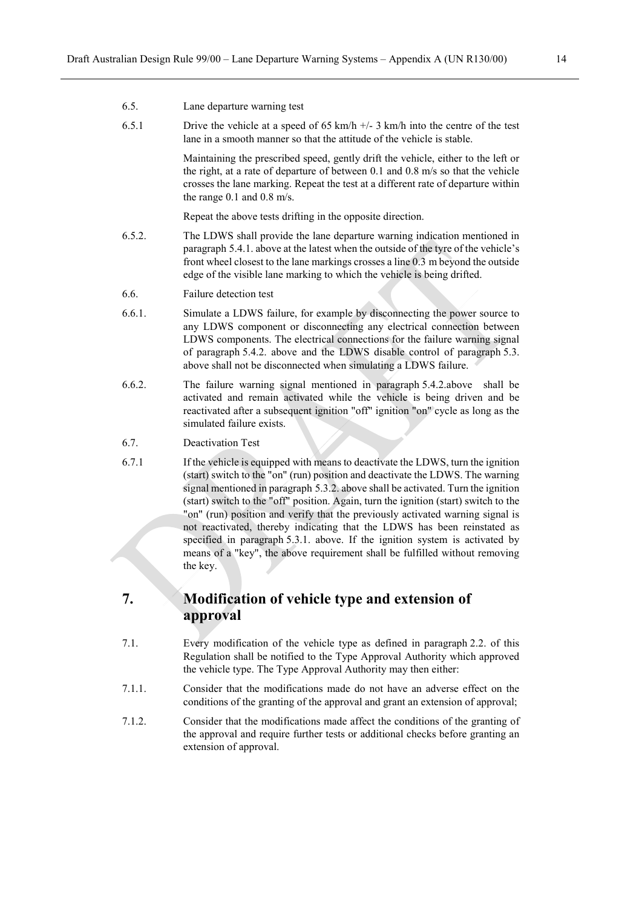6.5. Lane departure warning test

the key.

| 6.5.1  | Drive the vehicle at a speed of 65 km/h $+/- 3$ km/h into the centre of the test<br>lane in a smooth manner so that the attitude of the vehicle is stable.                                                                                                                                                                                                                                                                                                                                                  |
|--------|-------------------------------------------------------------------------------------------------------------------------------------------------------------------------------------------------------------------------------------------------------------------------------------------------------------------------------------------------------------------------------------------------------------------------------------------------------------------------------------------------------------|
|        | Maintaining the prescribed speed, gently drift the vehicle, either to the left or<br>the right, at a rate of departure of between $0.1$ and $0.8$ m/s so that the vehicle<br>crosses the lane marking. Repeat the test at a different rate of departure within<br>the range $0.1$ and $0.8$ m/s.                                                                                                                                                                                                            |
|        | Repeat the above tests drifting in the opposite direction.                                                                                                                                                                                                                                                                                                                                                                                                                                                  |
| 6.5.2. | The LDWS shall provide the lane departure warning indication mentioned in<br>paragraph 5.4.1. above at the latest when the outside of the tyre of the vehicle's<br>front wheel closest to the lane markings crosses a line 0.3 m beyond the outside<br>edge of the visible lane marking to which the vehicle is being drifted.                                                                                                                                                                              |
| 6.6.   | Failure detection test                                                                                                                                                                                                                                                                                                                                                                                                                                                                                      |
| 6.6.1. | Simulate a LDWS failure, for example by disconnecting the power source to<br>any LDWS component or disconnecting any electrical connection between<br>LDWS components. The electrical connections for the failure warning signal<br>of paragraph 5.4.2. above and the LDWS disable control of paragraph 5.3.<br>above shall not be disconnected when simulating a LDWS failure.                                                                                                                             |
| 6.6.2. | The failure warning signal mentioned in paragraph 5.4.2.above shall be<br>activated and remain activated while the vehicle is being driven and be<br>reactivated after a subsequent ignition "off" ignition "on" cycle as long as the<br>simulated failure exists.                                                                                                                                                                                                                                          |
| 6.7.   | Deactivation Test                                                                                                                                                                                                                                                                                                                                                                                                                                                                                           |
| 6.7.1  | If the vehicle is equipped with means to deactivate the LDWS, turn the ignition<br>(start) switch to the "on" (run) position and deactivate the LDWS. The warning<br>signal mentioned in paragraph 5.3.2. above shall be activated. Turn the ignition<br>(start) switch to the "off" position. Again, turn the ignition (start) switch to the<br>"on" (run) position and verify that the previously activated warning signal is<br>not reactivated, thereby indicating that the LDWS has been reinstated as |

**7. Modification of vehicle type and extension of approval**

7.1. Every modification of the vehicle type as defined in paragraph 2.2. of this Regulation shall be notified to the Type Approval Authority which approved the vehicle type. The Type Approval Authority may then either:

specified in paragraph 5.3.1. above. If the ignition system is activated by means of a "key", the above requirement shall be fulfilled without removing

- 7.1.1. Consider that the modifications made do not have an adverse effect on the conditions of the granting of the approval and grant an extension of approval;
- 7.1.2. Consider that the modifications made affect the conditions of the granting of the approval and require further tests or additional checks before granting an extension of approval.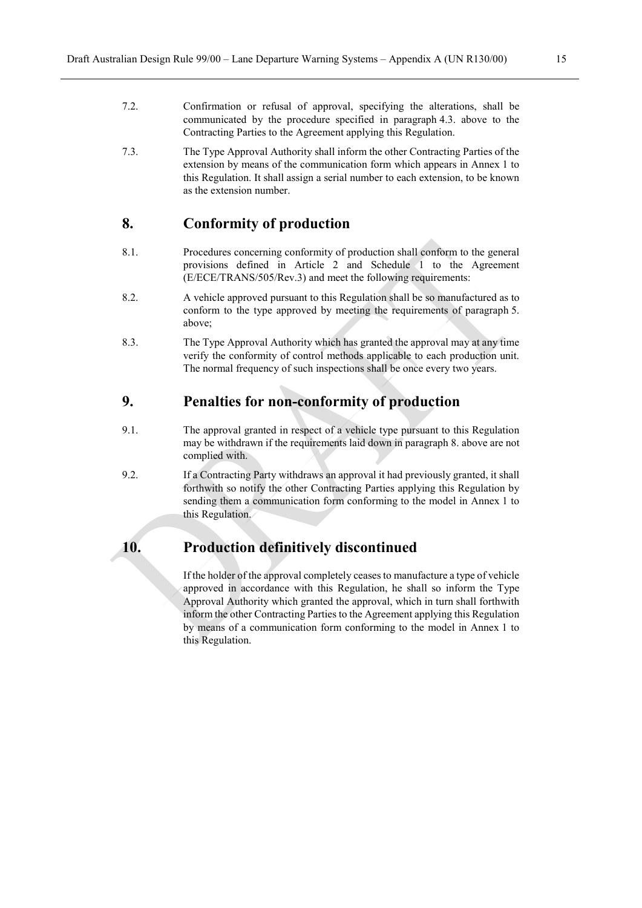- 7.2. Confirmation or refusal of approval, specifying the alterations, shall be communicated by the procedure specified in paragraph 4.3. above to the Contracting Parties to the Agreement applying this Regulation.
- 7.3. The Type Approval Authority shall inform the other Contracting Parties of the extension by means of the communication form which appears in Annex 1 to this Regulation. It shall assign a serial number to each extension, to be known as the extension number.

#### **8. Conformity of production**

- 8.1. Procedures concerning conformity of production shall conform to the general provisions defined in Article 2 and Schedule 1 to the Agreement (E/ECE/TRANS/505/Rev.3) and meet the following requirements:
- 8.2. A vehicle approved pursuant to this Regulation shall be so manufactured as to conform to the type approved by meeting the requirements of paragraph 5. above;
- 8.3. The Type Approval Authority which has granted the approval may at any time verify the conformity of control methods applicable to each production unit. The normal frequency of such inspections shall be once every two years.

# **9. Penalties for non-conformity of production**

- 9.1. The approval granted in respect of a vehicle type pursuant to this Regulation may be withdrawn if the requirements laid down in paragraph 8. above are not complied with.
- 9.2. If a Contracting Party withdraws an approval it had previously granted, it shall forthwith so notify the other Contracting Parties applying this Regulation by sending them a communication form conforming to the model in Annex 1 to this Regulation.

#### **10. Production definitively discontinued**

If the holder of the approval completely ceases to manufacture a type of vehicle approved in accordance with this Regulation, he shall so inform the Type Approval Authority which granted the approval, which in turn shall forthwith inform the other Contracting Parties to the Agreement applying this Regulation by means of a communication form conforming to the model in Annex 1 to this Regulation.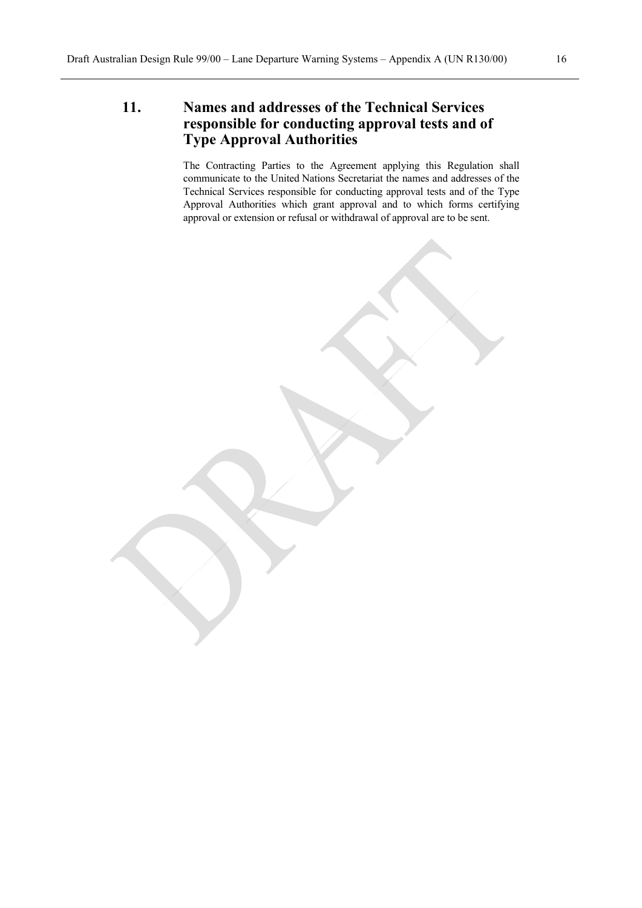# **11. Names and addresses of the Technical Services responsible for conducting approval tests and of Type Approval Authorities**

The Contracting Parties to the Agreement applying this Regulation shall communicate to the United Nations Secretariat the names and addresses of the Technical Services responsible for conducting approval tests and of the Type Approval Authorities which grant approval and to which forms certifying approval or extension or refusal or withdrawal of approval are to be sent.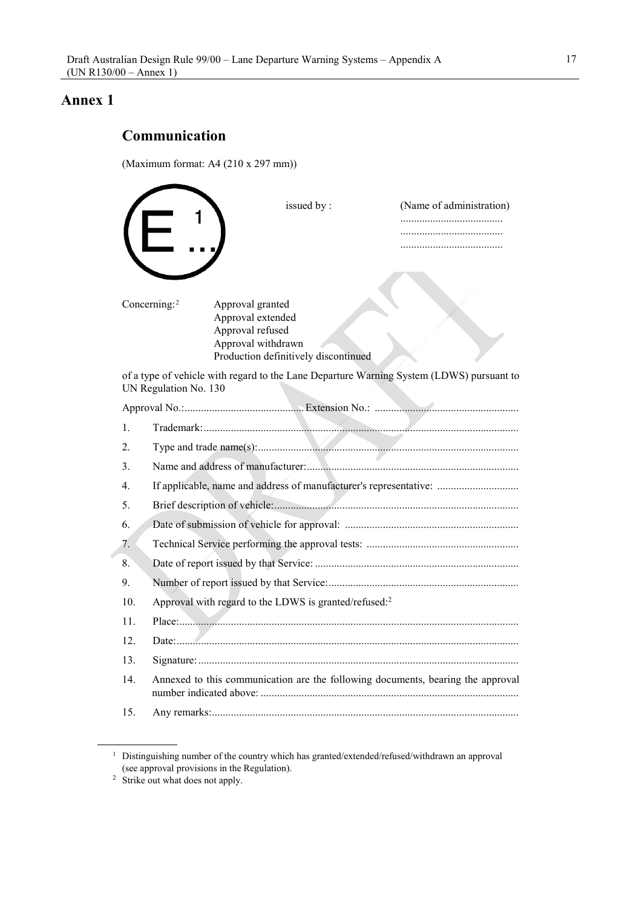#### **Annex 1**

# **Communication**

(Maximum format: A4 (210 x 297 mm))

|     | issued by:                                                                                                                                          | (Name of administration)<br> |
|-----|-----------------------------------------------------------------------------------------------------------------------------------------------------|------------------------------|
|     | Concerning: <sup>2</sup><br>Approval granted<br>Approval extended<br>Approval refused<br>Approval withdrawn<br>Production definitively discontinued |                              |
|     | of a type of vehicle with regard to the Lane Departure Warning System (LDWS) pursuant to<br>UN Regulation No. 130                                   |                              |
|     |                                                                                                                                                     |                              |
| 1.  |                                                                                                                                                     |                              |
| 2.  |                                                                                                                                                     |                              |
| 3.  |                                                                                                                                                     |                              |
| 4.  | If applicable, name and address of manufacturer's representative:                                                                                   |                              |
| 5.  |                                                                                                                                                     |                              |
| 6.  |                                                                                                                                                     |                              |
| 7.  |                                                                                                                                                     |                              |
| 8.  |                                                                                                                                                     |                              |
| 9.  |                                                                                                                                                     |                              |
| 10. | Approval with regard to the LDWS is granted/refused: <sup>2</sup>                                                                                   |                              |
| 11. |                                                                                                                                                     |                              |
| 12. |                                                                                                                                                     |                              |
| 13. |                                                                                                                                                     |                              |
| 14. | Annexed to this communication are the following documents, bearing the approval                                                                     |                              |
| 15. |                                                                                                                                                     |                              |

<span id="page-16-0"></span><sup>&</sup>lt;sup>1</sup> Distinguishing number of the country which has granted/extended/refused/withdrawn an approval (see approval provisions in the Regulation).

<span id="page-16-1"></span><sup>&</sup>lt;sup>2</sup> Strike out what does not apply.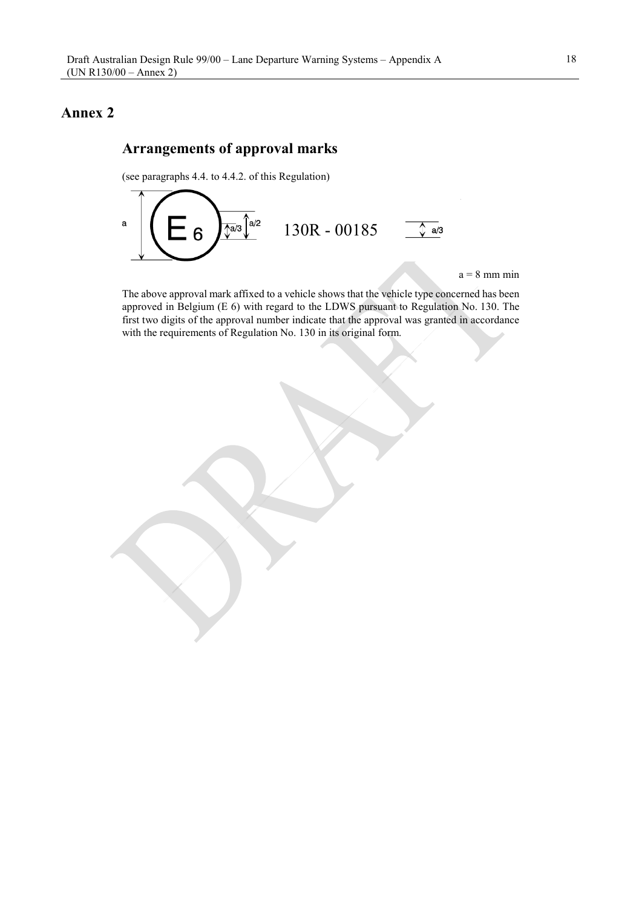# **Annex 2**

# **Arrangements of approval marks**

(see paragraphs 4.4. to 4.4.2. of this Regulation)



 $a = 8$  mm min

The above approval mark affixed to a vehicle shows that the vehicle type concerned has been approved in Belgium (E 6) with regard to the LDWS pursuant to Regulation No. 130. The first two digits of the approval number indicate that the approval was granted in accordance with the requirements of Regulation No. 130 in its original form.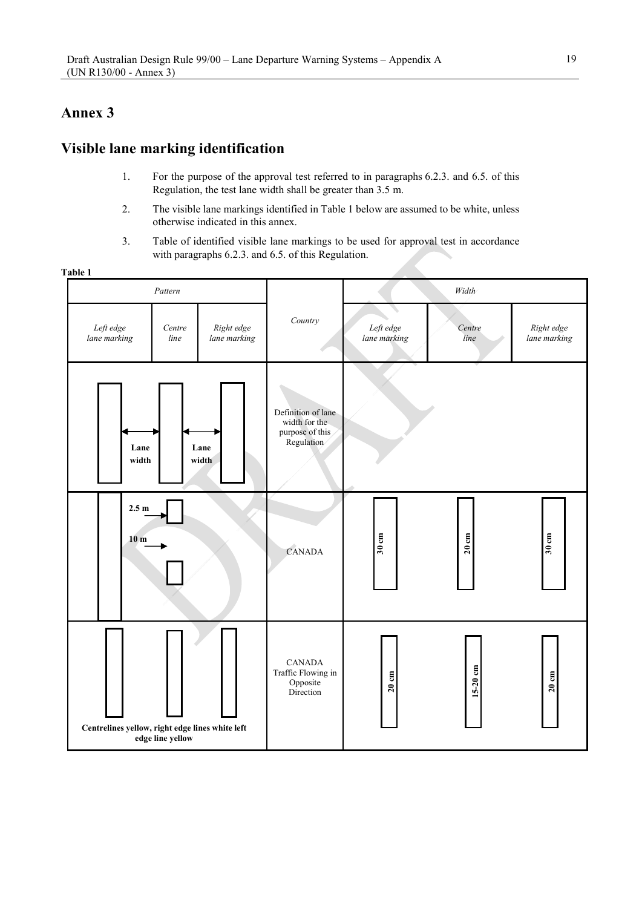# **Annex 3**

# **Visible lane marking identification**

- 1. For the purpose of the approval test referred to in paragraphs 6.2.3. and 6.5. of this Regulation, the test lane width shall be greater than 3.5 m.
- 2. The visible lane markings identified in Table 1 below are assumed to be white, unless otherwise indicated in this annex.
- 3. Table of identified visible lane markings to be used for approval test in accordance with paragraphs 6.2.3. and 6.5. of this Regulation.

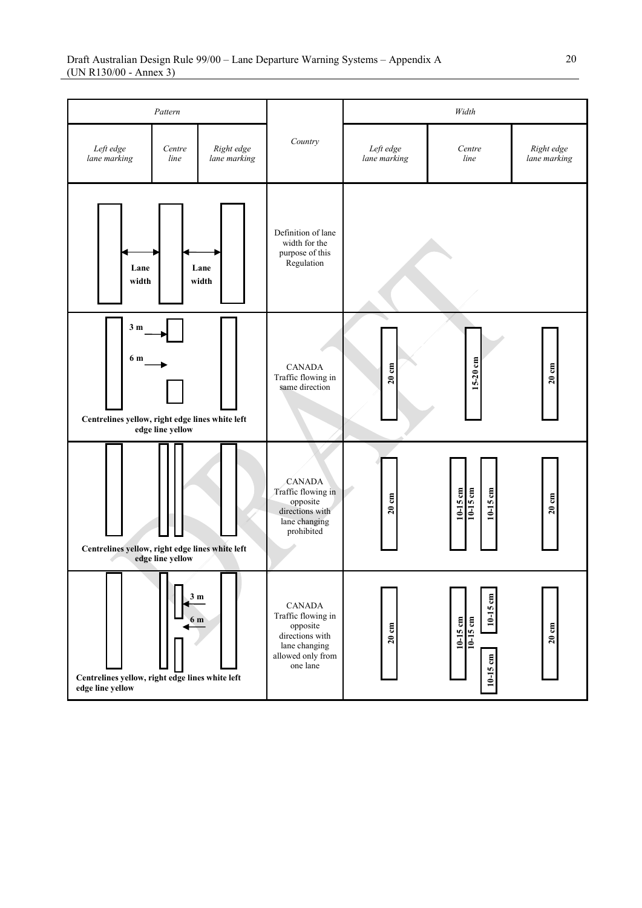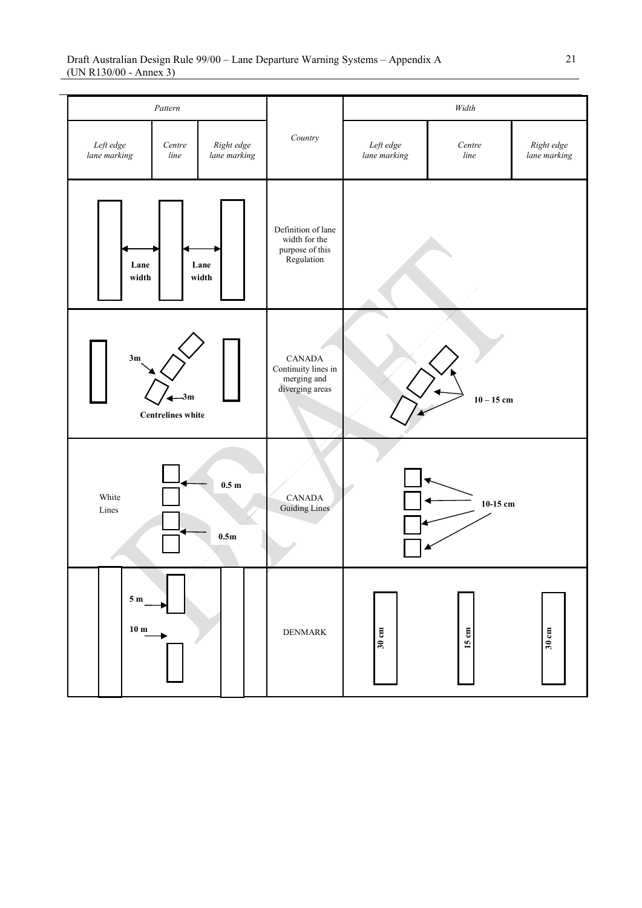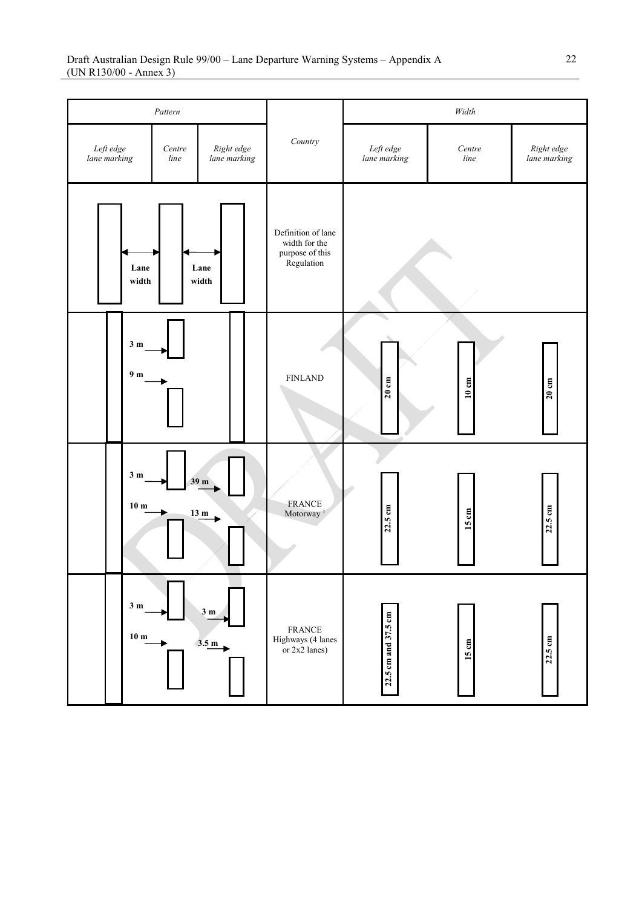| Pattern                                                                   |                                   |  |                                             | $Width$                                                              |                      |                            |                   |
|---------------------------------------------------------------------------|-----------------------------------|--|---------------------------------------------|----------------------------------------------------------------------|----------------------|----------------------------|-------------------|
| Left edge<br>lane marking<br>Right edge<br>Centre<br>lane marking<br>line |                                   |  | Country                                     | ${\it Left}$ edge<br>lane marking                                    | Centre<br>$\it line$ | Right edge<br>lane marking |                   |
|                                                                           | Lane<br>width                     |  | Lane<br>width                               | Definition of lane<br>width for the<br>purpose of this<br>Regulation |                      |                            |                   |
|                                                                           | 3m<br>9 <sub>m</sub>              |  |                                             | <b>FINLAND</b>                                                       | $20 \text{ cm}$      | $10\ {\rm cm}$             | 20cm              |
|                                                                           | 3 <sub>m</sub><br>10 <sub>m</sub> |  | 39 <sub>m</sub><br>$\frac{13 \text{ m}}{2}$ | <b>FRANCE</b><br>Motorway <sup>1</sup>                               | $22.5 \text{ cm}$    | 15 cm                      | $22.5 \text{ cm}$ |
|                                                                           | 3 <sub>m</sub><br>10 <sub>m</sub> |  | 3 <sub>m</sub><br>3.5 m                     | <b>FRANCE</b><br>Highways (4 lanes<br>or $2x2$ lanes)                | 22.5 cm and 37.5 cm  | 15 cm                      | 22.5 cm           |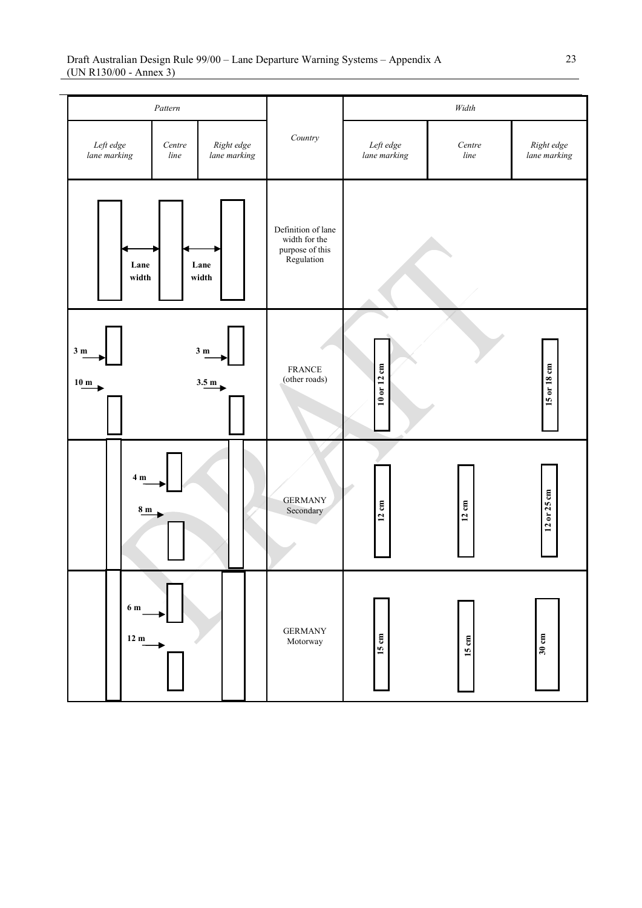| Pattern                                                                   |                        |         |                           |                                                                      | $Width$                    |                 |             |
|---------------------------------------------------------------------------|------------------------|---------|---------------------------|----------------------------------------------------------------------|----------------------------|-----------------|-------------|
| Left edge<br>Right edge<br>Centre<br>lane marking<br>lane marking<br>line |                        | Country | Left edge<br>lane marking | Centre<br>line                                                       | Right edge<br>lane marking |                 |             |
|                                                                           | Lane<br>width          |         | Lane<br>width             | Definition of lane<br>width for the<br>purpose of this<br>Regulation |                            |                 |             |
| 3m<br>$10 \text{ m}$                                                      |                        |         | 3m<br>3.5 m               | <b>FRANCE</b><br>(other roads)                                       | 10 or 12 cm                |                 | 15 or 18 cm |
|                                                                           | 4 <sub>m</sub><br>8 m  |         |                           | <b>GERMANY</b><br>Secondary                                          | $12 \text{ cm}$            | $12 \text{ cm}$ | 12 or 25 cm |
|                                                                           | 6 m<br>12 <sub>m</sub> |         |                           | <b>GERMANY</b><br>Motorway                                           | 15 cm                      | $15 \text{ cm}$ | 30cm        |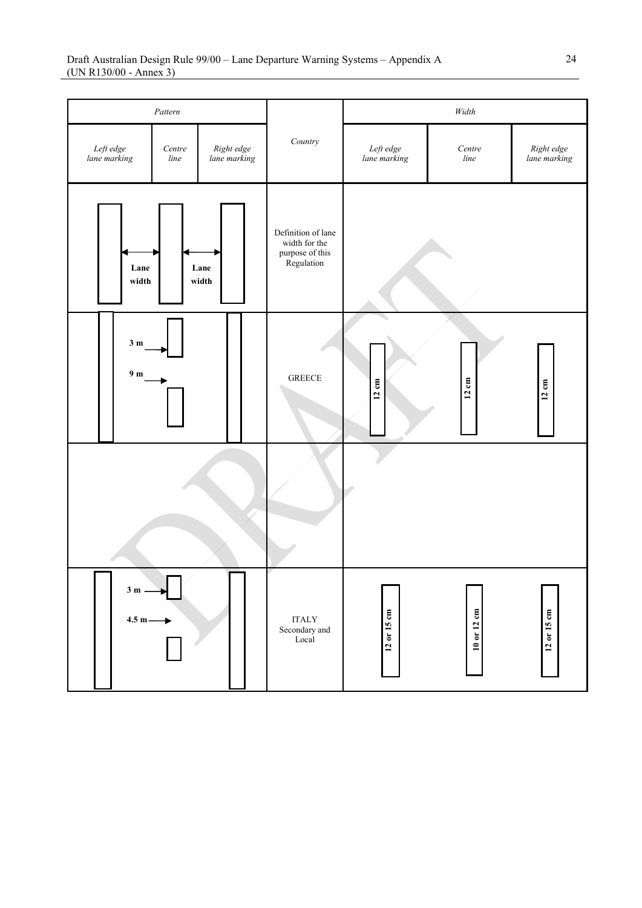| Pattern                                                                   |                |               |                                                                      | $Width$              |                            |                 |
|---------------------------------------------------------------------------|----------------|---------------|----------------------------------------------------------------------|----------------------|----------------------------|-----------------|
| Left edge<br>lane marking<br>Right edge<br>lane marking<br>Centre<br>line |                | $Country$     | Left edge<br>lane marking                                            | Centre<br>$\it line$ | Right edge<br>lane marking |                 |
|                                                                           | Lane<br>width  | Lane<br>width | Definition of lane<br>width for the<br>purpose of this<br>Regulation |                      |                            |                 |
| 3m<br>9 <sub>m</sub>                                                      |                |               | <b>GREECE</b>                                                        | $12 \text{ cm}$      | $12 \text{ cm}$            | $12 \text{ cm}$ |
|                                                                           |                |               |                                                                      |                      |                            |                 |
| $3m -$                                                                    | г<br>$4.5 m -$ |               | $\sf ITALY$<br>Secondary and<br>Local                                | 12 or 15 cm          | 10 or 12 cm                | $12$ or $15$ cm |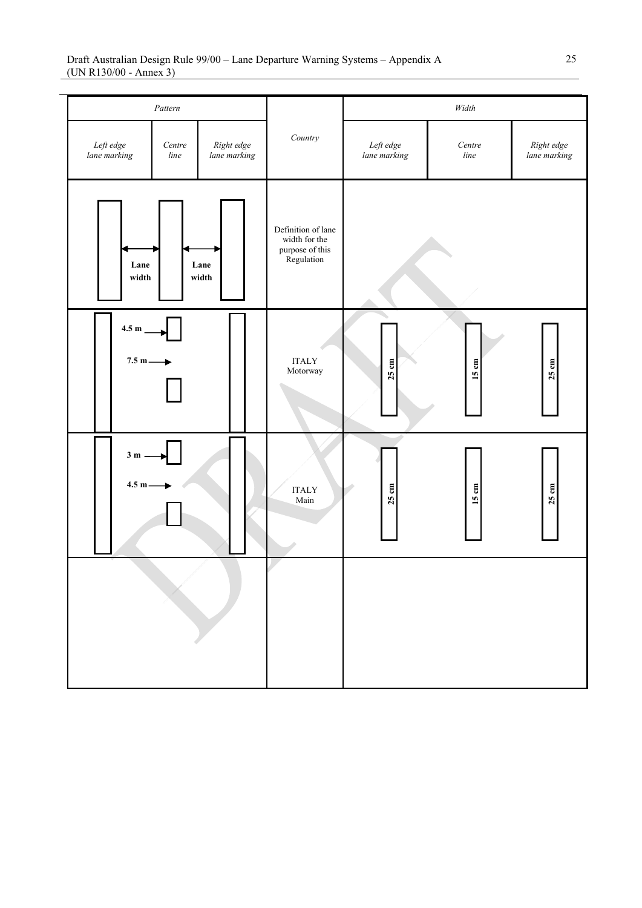|                               | Pattern        |                            |                                                                      |                           | $Width$         |                            |
|-------------------------------|----------------|----------------------------|----------------------------------------------------------------------|---------------------------|-----------------|----------------------------|
| Left edge<br>lane marking     | Centre<br>line | Right edge<br>lane marking | $Country$                                                            | Left edge<br>lane marking | Centre<br>line  | Right edge<br>lane marking |
| Lane<br>width                 |                | Lane<br>width              | Definition of lane<br>width for the<br>purpose of this<br>Regulation |                           |                 |                            |
| $4.5~\mathrm{m}$<br>$7.5 m -$ |                |                            | $\sf ITALY$<br>Motorway                                              | $25 \text{ cm}$           | $15 \text{ cm}$ | $25 \text{ cm}$            |
| $3m$ .<br>$4.5 m -$           |                |                            | <b>ITALY</b><br>Main                                                 | 25 cm                     | 15 cm           | 25cm                       |
|                               |                |                            |                                                                      |                           |                 |                            |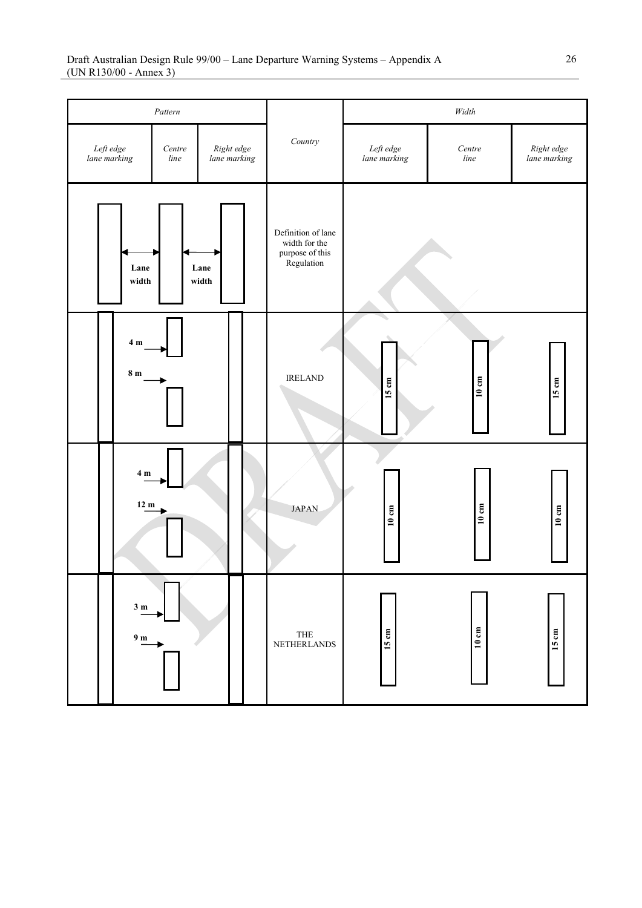| Pattern                   |                                   |                                              |  |                                                                      |                           | $Width$                   |                 |                            |
|---------------------------|-----------------------------------|----------------------------------------------|--|----------------------------------------------------------------------|---------------------------|---------------------------|-----------------|----------------------------|
| Left edge<br>lane marking |                                   | Centre<br>Right edge<br>lane marking<br>line |  |                                                                      | $Country$                 | Left edge<br>lane marking | Centre<br>line  | Right edge<br>lane marking |
|                           | Lane<br>Lane<br>width<br>width    |                                              |  | Definition of lane<br>width for the<br>purpose of this<br>Regulation |                           |                           |                 |                            |
|                           | $4m$<br>8m                        |                                              |  |                                                                      | <b>IRELAND</b>            | 15 cm                     | $10\ {\rm cm}$  | 15 cm                      |
|                           | 4 <sub>m</sub><br>12 m            |                                              |  |                                                                      | <b>JAPAN</b>              | 10 cm                     | 10 cm           | $10 \text{ cm}$            |
|                           | 3 <sub>m</sub><br>$9\ \mathrm{m}$ |                                              |  |                                                                      | THE<br><b>NETHERLANDS</b> | 15 cm                     | $10 \text{ cm}$ | 15 cm                      |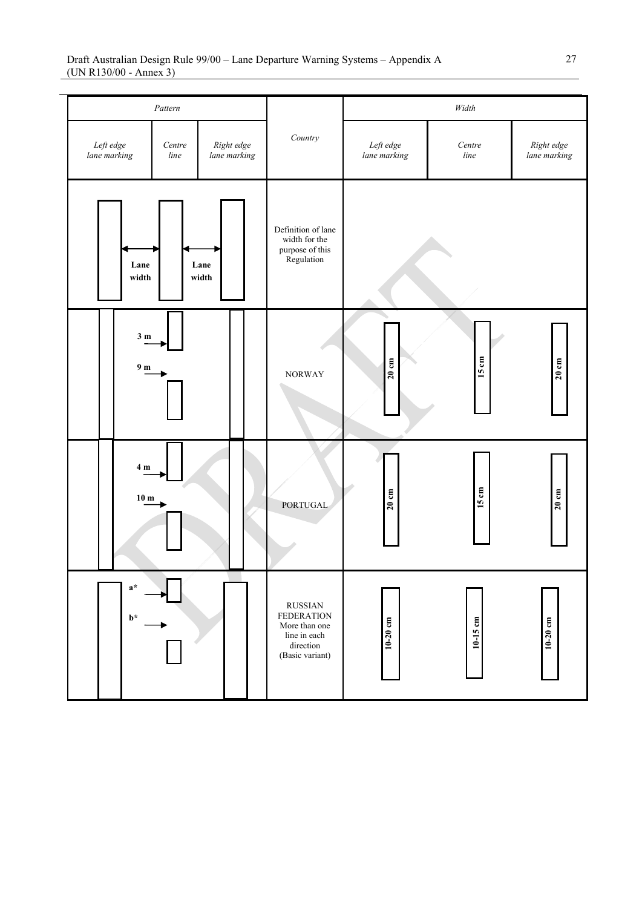|                                              | Pattern                            |                            |                                                                                                      | $Width$                           |                |                            |
|----------------------------------------------|------------------------------------|----------------------------|------------------------------------------------------------------------------------------------------|-----------------------------------|----------------|----------------------------|
| Left edge<br>lane marking                    | Centre<br>line                     | Right edge<br>lane marking | Country                                                                                              | ${\it Left}$ edge<br>lane marking | Centre<br>line | Right edge<br>lane marking |
|                                              | Lane<br>width                      | Lane<br>width              | Definition of lane<br>width for the<br>purpose of this<br>Regulation                                 |                                   |                |                            |
|                                              | 3 <sub>m</sub><br>9 <sub>m</sub>   |                            | <b>NORWAY</b>                                                                                        | $20 \text{ cm}$                   | 15 cm          | 20cm                       |
|                                              | $4\ \mathrm{m}$<br>10 <sub>m</sub> |                            | <b>PORTUGAL</b>                                                                                      | $20 \text{ cm}$                   | 15 cm          | $20 \text{ cm}$            |
| $\mathbf{a}^{\star}$<br>$\mathbf{b}^{\star}$ |                                    |                            | <b>RUSSIAN</b><br><b>FEDERATION</b><br>More than one<br>line in each<br>direction<br>(Basic variant) | $10-20$ cm                        | 10-15 cm       | 10-20 cm                   |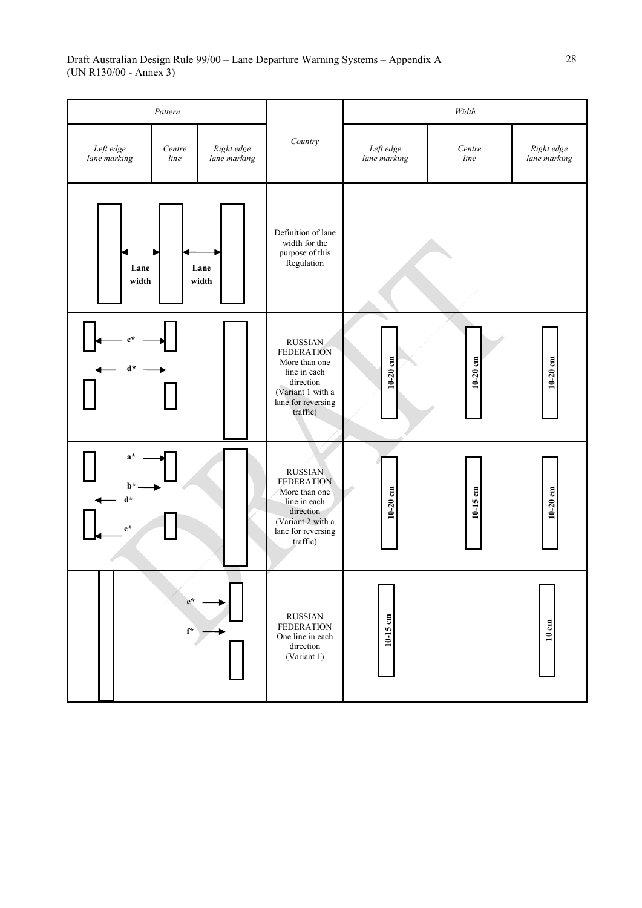|                                                                         | Pattern                     |                            |                                                                                                                                          | Width                                  |                |                            |  |
|-------------------------------------------------------------------------|-----------------------------|----------------------------|------------------------------------------------------------------------------------------------------------------------------------------|----------------------------------------|----------------|----------------------------|--|
| Left edge<br>lane marking                                               | Centre<br>line              | Right edge<br>lane marking | Country                                                                                                                                  | Left edge<br>lane marking              | Centre<br>line | Right edge<br>lane marking |  |
| Lane<br>width                                                           |                             | Lane<br>width              | Definition of lane<br>width for the<br>purpose of this<br>Regulation                                                                     |                                        |                |                            |  |
| $\mathbf{d}^{\star}$                                                    |                             |                            | <b>RUSSIAN</b><br><b>FEDERATION</b><br>More than one<br>line in each<br>direction<br>(Variant 1 with a<br>lane for reversing<br>traffic) | $10-20$ cm<br>$10-20$ cm<br>$10-20$ cm |                |                            |  |
| $a^*$<br>$\mathbf{b}^{\star}$<br>$\mathbf{d}^*$<br>$\mathbf{c}^{\star}$ |                             |                            | <b>RUSSIAN</b><br><b>FEDERATION</b><br>More than one<br>line in each<br>direction<br>(Variant 2 with a<br>lane for reversing<br>traffic) | $10-20$ cm                             | 10-15 cm       | $10-20$ cm                 |  |
|                                                                         | $e^*$<br>$\mathbf{f}^\star$ |                            | <b>RUSSIAN</b><br><b>FEDERATION</b><br>One line in each<br>direction<br>(Variant 1)                                                      | 10-15 cm                               |                | $10 \; \mathrm{cm}$        |  |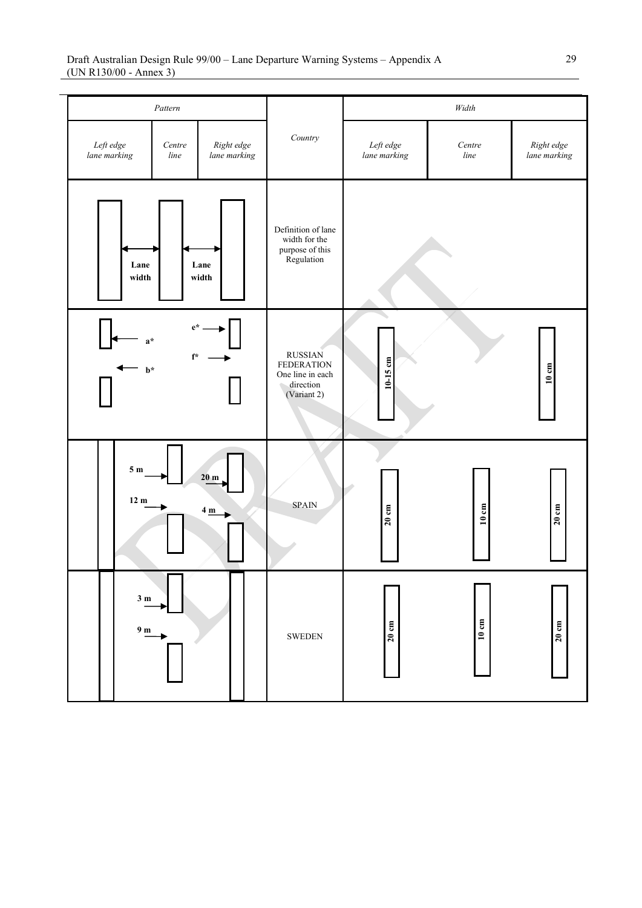|                                     | Pattern                     |                                           |                                                                                     | $Width$                   |                |                            |
|-------------------------------------|-----------------------------|-------------------------------------------|-------------------------------------------------------------------------------------|---------------------------|----------------|----------------------------|
| Left edge<br>Centre<br>lane marking |                             | Right edge<br>lane marking                | Country                                                                             | Left edge<br>lane marking | Centre<br>line | Right edge<br>lane marking |
| Lane<br>width                       |                             | Lane<br>width                             | Definition of lane<br>width for the<br>purpose of this<br>Regulation                |                           |                |                            |
| $a^*$<br>$\mathbf{b}^*$             | $e^*$<br>$\mathbf{f}^\star$ |                                           | <b>RUSSIAN</b><br><b>FEDERATION</b><br>One line in each<br>direction<br>(Variant 2) | $10-15$ cm                |                | $10\ {\rm cm}$             |
| 5m<br>12 m                          |                             | 20 <sub>m</sub><br>$4 \underline{m}$<br>۰ | <b>SPAIN</b>                                                                        | 20cm                      | 10 cm          | 20cm                       |
| $3\ \mathrm{m}$<br>9 <sub>m</sub>   |                             |                                           | <b>SWEDEN</b>                                                                       | $20 \text{ cm}$           | 10 cm          | $20 \text{ cm}$            |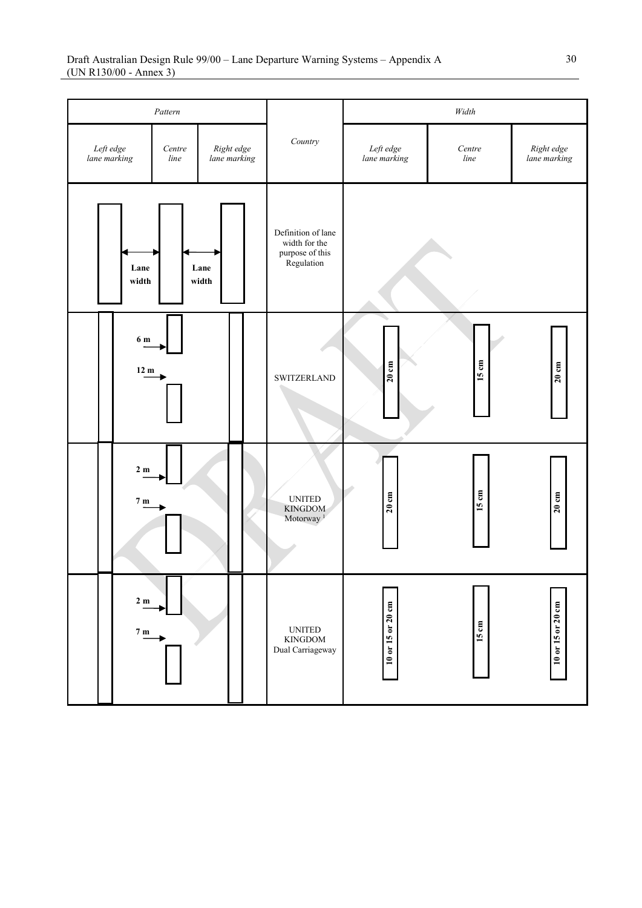| Pattern                            |                                   |                |                            |  |                                                                           | $Width$                   |                |                            |
|------------------------------------|-----------------------------------|----------------|----------------------------|--|---------------------------------------------------------------------------|---------------------------|----------------|----------------------------|
| Left $\emph{edge}$<br>lane marking |                                   | Centre<br>line | Right edge<br>lane marking |  | $Country$                                                                 | Left edge<br>lane marking | Centre<br>line | Right edge<br>lane marking |
| Lane<br>Lane<br>width<br>width     |                                   |                |                            |  | Definition of lane<br>width for the<br>purpose of this<br>Regulation      |                           |                |                            |
|                                    | $6\ {\rm m}$<br>12 m              |                |                            |  | <b>SWITZERLAND</b>                                                        | $20 \text{ cm}$           | 15 cm          | 20cm                       |
|                                    | $2\ \mathrm{m}$<br>$7~\mathrm{m}$ |                |                            |  | $\ensuremath{\mathsf{UNITED}}$<br><b>KINGDOM</b><br>Motorway <sup>1</sup> | $20 \text{ cm}$           | 15 cm          | $20 \text{ cm}$            |
|                                    | 2m<br>7m                          |                |                            |  | <b>UNITED</b><br>$\mathop{\rm KINGDOM}$<br>Dual Carriageway               | 10 or 15 or 20 cm         | 15 cm          | 10 or 15 or 20 cm          |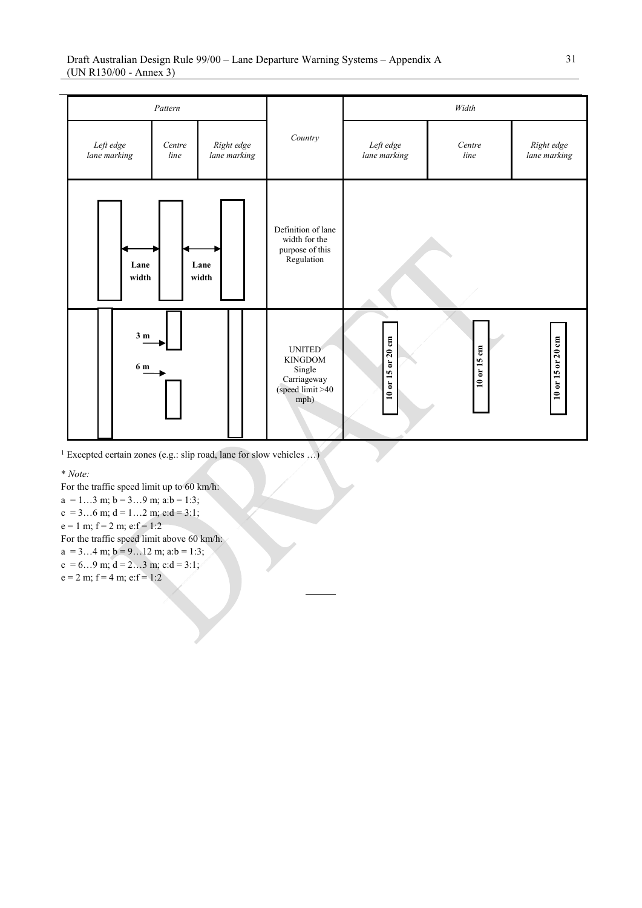

<sup>1</sup> Excepted certain zones (e.g.: slip road, lane for slow vehicles …)

\* *Note:*

For the traffic speed limit up to 60 km/h:

 $a = 1...3$  m;  $b = 3...9$  m;  $a:b = 1:3$ ;

 $c = 3...6$  m;  $d = 1...2$  m;  $c:d = 3:1$ ;

 $e = 1$  m;  $f = 2$  m;  $e: f = 1:2$ 

For the traffic speed limit above 60 km/h:

 $a = 3...4$  m;  $b = 9...12$  m;  $a:b = 1:3$ ;

 $c = 6...9$  m;  $d = 2...3$  m;  $c:d = 3:1$ ;

 $e = 2$  m;  $f = 4$  m;  $e: f = 1:2$